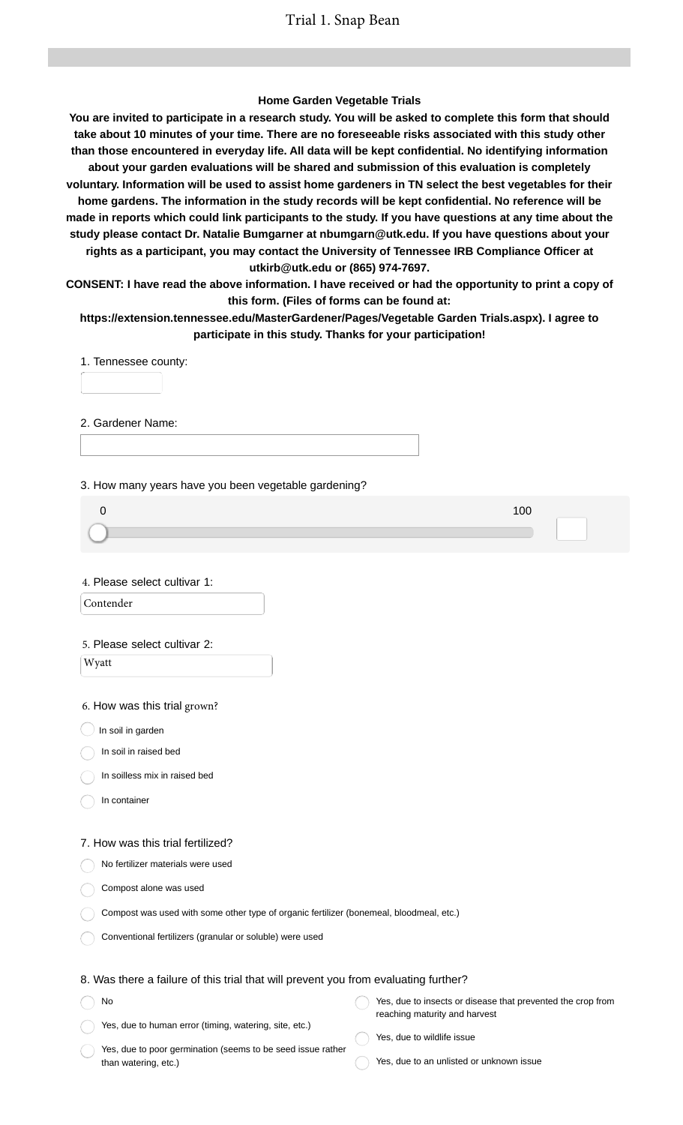### **Home Garden Vegetable Trials**

**You are invited to participate in a research study. You will be asked to complete this form that should take about 10 minutes of your time. There are no foreseeable risks associated with this study other than those encountered in everyday life. All data will be kept confidential. No identifying information about your garden evaluations will be shared and submission of this evaluation is completely voluntary. Information will be used to assist home gardeners in TN select the best vegetables for their home gardens. The information in the study records will be kept confidential. No reference will be made in reports which could link participants to the study. If you have questions at any time about the study please contact Dr. Natalie Bumgarner at nbumgarn@utk.edu. If you have questions about your rights as a participant, you may contact the University of Tennessee IRB Compliance Officer at utkirb@utk.edu or (865) 974-7697.**

**CONSENT: I have read the above information. I have received or had the opportunity to print a copy of this form. (Files of forms can be found at:**

**https://extension.tennessee.edu/MasterGardener/Pages/Vegetable Garden Trials.aspx). I agree to participate in this study. Thanks for your participation!**

1. Tennessee county:

2. Gardener Name:

3. How many years have you been vegetable gardening?

4. Please select cultivar 1:

Contender

#### 5. Please select cultivar 2:

Wyatt

6. How was this trial grown?

 $\bigcup$  In soil in garden

In soil in raised bed

In soilless mix in raised bed

In container

No

#### 7. How was this trial fertilized?

No fertilizer materials were used

Compost alone was used

Compost was used with some other type of organic fertilizer (bonemeal, bloodmeal, etc.)

Conventional fertilizers (granular or soluble) were used

### 8. Was there a failure of this trial that will prevent you from evaluating further?

Yes, due to human error (timing, watering, site, etc.) Yes, due to insects or disease that prevented the crop from reaching maturity and harvest

Yes, due to poor germination (seems to be seed issue rather than watering, etc.)

Yes, due to wildlife issue

Yes, due to an unlisted or unknown issue